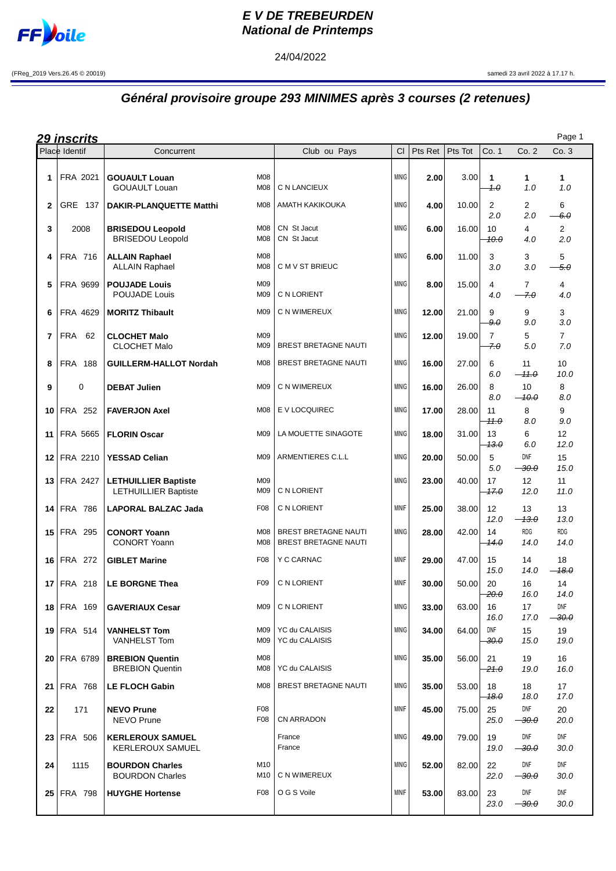

## **E V DE TREBEURDEN National de Printemps**

24/04/2022

(FReg\_2019 Vers.26.45 © 20019) samedi 23 avril 2022 à 17.17 h.

## **Général provisoire groupe 293 MINIMES après 3 courses (2 retenues)**

| <u> 29 inscrits</u> |                   |                                                            |                 |                                                     |              |         |         |                       |                           | Page 1                  |
|---------------------|-------------------|------------------------------------------------------------|-----------------|-----------------------------------------------------|--------------|---------|---------|-----------------------|---------------------------|-------------------------|
|                     | Place Identif     | Concurrent                                                 |                 | Club ou Pays                                        | CI.          | Pts Ret | Pts Tot | Co. 1                 | Co. 2                     | Co. 3                   |
| 1                   | FRA 2021          | <b>GOUAULT Louan</b><br><b>GOUAULT Louan</b>               | M08<br>M08      | C N LANCIEUX                                        | <b>MINIG</b> | 2.00    | 3.00    | 1<br>1.0              | 1<br>1.0                  | $\mathbf 1$<br>1.0      |
| 2                   | GRE 137           | <b>DAKIR-PLANQUETTE Matthi</b>                             | M08             | AMATH KAKIKOUKA                                     | <b>MINIG</b> | 4.00    | 10.00   | 2<br>2.0              | 2<br>2.0                  | 6<br>6.0                |
| 3                   | 2008              | <b>BRISEDOU Leopold</b><br><b>BRISEDOU Leopold</b>         | M08<br>M08      | CN St Jacut<br>CN St Jacut                          | <b>MINIG</b> | 6.00    | 16.00   | 10<br>10.0            | 4<br>4.0                  | $\overline{2}$<br>2.0   |
| 4                   | FRA 716           | <b>ALLAIN Raphael</b><br><b>ALLAIN Raphael</b>             | M08<br>M08      | C M V ST BRIEUC                                     | <b>MINIG</b> | 6.00    | 11.00   | 3<br>3.0              | 3<br>3.0                  | 5<br>-5.0               |
| 5                   | FRA 9699          | <b>POUJADE Louis</b><br><b>POUJADE Louis</b>               | M09<br>M09      | C N LORIENT                                         | <b>MINIG</b> | 8.00    | 15.00   | 4<br>4.0              | $\overline{7}$<br>7.0     | 4<br>4.0                |
| 6                   | FRA 4629          | <b>MORITZ Thibault</b>                                     | M09             | C N WIMEREUX                                        | <b>MINIG</b> | 12.00   | 21.00   | 9<br>9.0              | 9<br>9.0                  | 3<br>3.0                |
| 7                   | FRA<br>62         | <b>CLOCHET Malo</b><br><b>CLOCHET Malo</b>                 | M09<br>M09      | <b>BREST BRETAGNE NAUTI</b>                         | <b>MINIG</b> | 12.00   | 19.00   | $\overline{7}$<br>7.0 | 5<br>5.0                  | $\overline{7}$<br>7.0   |
| 8                   | <b>FRA 188</b>    | <b>GUILLERM-HALLOT Nordah</b>                              | M08             | <b>BREST BRETAGNE NAUTI</b>                         | <b>MINIG</b> | 16.00   | 27.00   | 6<br>6.0              | 11<br>$-11.0$             | 10 <sup>°</sup><br>10.0 |
| 9                   | 0                 | <b>DEBAT Julien</b>                                        | M09             | C N WIMEREUX                                        | <b>MINIG</b> | 16.00   | 26.00   | 8<br>8.0              | 10<br><del>10.0</del>     | 8<br>8.0                |
| 10                  | FRA 252           | <b>FAVERJON Axel</b>                                       | M08             | E V LOCQUIREC                                       | <b>MINIG</b> | 17.00   | 28.00   | 11<br>11.O            | 8<br>8.0                  | 9<br>9.0                |
| 11                  | FRA 5665          | <b>FLORIN Oscar</b>                                        | M09             | LA MOUETTE SINAGOTE                                 | <b>MINIG</b> | 18.00   | 31.00   | 13<br><del>13.0</del> | 6<br>6.0                  | 12 <sup>2</sup><br>12.0 |
| 12                  | FRA 2210          | <b>YESSAD Celian</b>                                       | M09             | ARMENTIERES C.L.L                                   | <b>MINIG</b> | 20.00   | 50.00   | 5<br>5.0              | DNF<br>$-30.0$            | 15<br>15.0              |
| 13                  | FRA 2427          | <b>LETHUILLIER Baptiste</b><br><b>LETHUILLIER Baptiste</b> | M09<br>M09      | C N LORIENT                                         | <b>MINIG</b> | 23.00   | 40.00   | 17<br>47.0            | 12<br>12.0                | 11<br>11.0              |
| 14                  | <b>FRA 786</b>    | <b>LAPORAL BALZAC Jada</b>                                 | F08             | C N LORIENT                                         | <b>MINIF</b> | 25.00   | 38.00   | 12<br>12.0            | 13<br>$-13.0$             | 13<br>13.0              |
| 15                  | <b>FRA 295</b>    | <b>CONORT Yoann</b><br><b>CONORT Yoann</b>                 | M08<br>M08      | <b>BREST BRETAGNE NAUTI</b><br>BREST BRETAGNE NAUTI | <b>MINIG</b> | 28.00   | 42.00   | 14<br>14.0            | <b>RDG</b><br>14.0        | <b>RDG</b><br>14.0      |
| 16                  | <b>FRA 272</b>    | <b>GIBLET Marine</b>                                       | F08             | Y C CARNAC                                          | <b>MINIF</b> | 29.00   | 47.00   | 15<br>15.0            | 14<br>14.0                | 18<br>$-18.0$           |
| 17                  | <b>FRA 218</b>    | <b>LE BORGNE Thea</b>                                      | F <sub>09</sub> | C N LORIENT                                         | <b>MINIF</b> | 30.00   | 50.00   | 20<br>20.0            | 16<br>16.0                | 14<br>14.0              |
|                     | <b>18 FRA 169</b> | <b>GAVERIAUX Cesar</b>                                     | M09             | C N LORIENT                                         | <b>MINIG</b> | 33.00   | 63.00   | 16<br>16.0            | 17<br>17.0                | DNF<br>$-30.0$          |
|                     | <b>19 FRA 514</b> | <b>VANHELST Tom</b><br><b>VANHELST Tom</b>                 | M09<br>M09      | YC du CALAISIS<br>YC du CALAISIS                    | <b>MINIG</b> | 34.00   | 64.00   | DNF<br>30.O           | 15<br>15.0                | 19<br>19.0              |
|                     | 20 FRA 6789       | <b>BREBION Quentin</b><br><b>BREBION Quentin</b>           | M08<br>M08      | YC du CALAISIS                                      | <b>MINIG</b> | 35.00   | 56.00   | 21<br>-21.0           | 19<br>19.0                | 16<br>16.0              |
| 21 <sub>1</sub>     | <b>FRA 768</b>    | <b>LE FLOCH Gabin</b>                                      | M08             | <b>BREST BRETAGNE NAUTI</b>                         | <b>MINIG</b> | 35.00   | 53.00   | 18<br>18.0            | 18<br>18.0                | 17<br>17.0              |
| 22                  | 171               | <b>NEVO Prune</b><br>NEVO Prune                            | F08<br>F08      | CN ARRADON                                          | <b>MINIF</b> | 45.00   | 75.00   | 25<br>25.0            | DNF<br>$\rightarrow$ 30.0 | 20<br>20.0              |
|                     | 23 FRA 506        | <b>KERLEROUX SAMUEL</b><br><b>KERLEROUX SAMUEL</b>         |                 | France<br>France                                    | <b>MINIG</b> | 49.00   | 79.00   | 19<br>19.0            | DNF<br><del>30.0</del> —  | DNF<br>30.0             |
| 24                  | 1115              | <b>BOURDON Charles</b><br><b>BOURDON Charles</b>           | M10<br>M10      | C N WIMEREUX                                        | <b>MINIG</b> | 52.00   | 82.00   | 22<br>22.0            | DNF<br><del>30.0</del>    | DNF<br>30.0             |
|                     | 25 FRA 798        | <b>HUYGHE Hortense</b>                                     | F08             | O G S Voile                                         | MINIF        | 53.00   | 83.00   | 23<br>23.0            | DNF<br>$\rightarrow 30.0$ | DNF<br>30.0             |